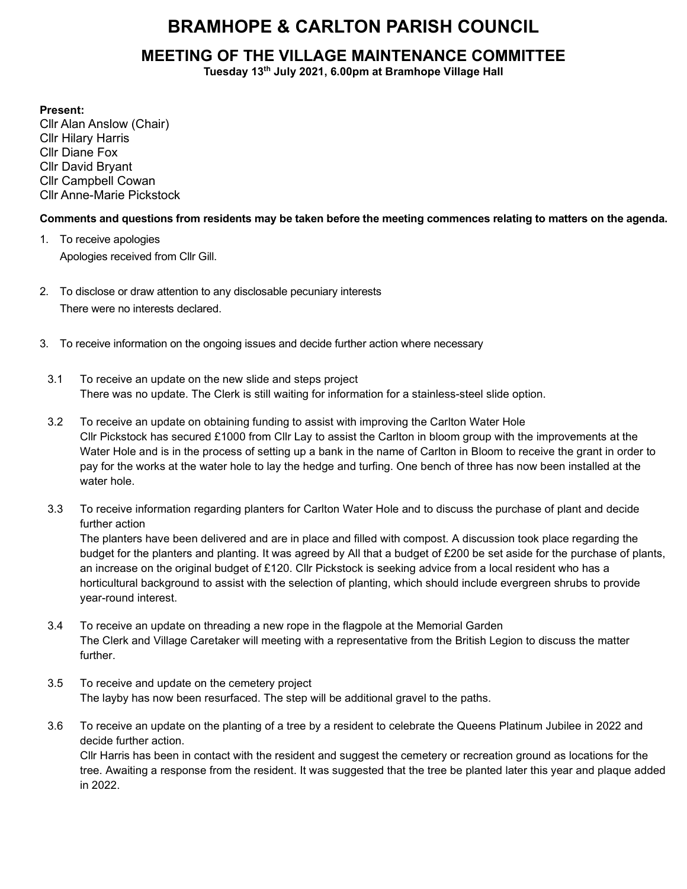# BRAMHOPE & CARLTON PARISH COUNCIL

## MEETING OF THE VILLAGE MAINTENANCE COMMITTEE

Tuesday 13th July 2021, 6.00pm at Bramhope Village Hall

Present:

Cllr Alan Anslow (Chair) Cllr Hilary Harris Cllr Diane Fox Cllr David Bryant Cllr Campbell Cowan Cllr Anne-Marie Pickstock

### Comments and questions from residents may be taken before the meeting commences relating to matters on the agenda.

- 1. To receive apologies Apologies received from Cllr Gill.
- 2. To disclose or draw attention to any disclosable pecuniary interests There were no interests declared.
- 3. To receive information on the ongoing issues and decide further action where necessary
	- 3.1 To receive an update on the new slide and steps project There was no update. The Clerk is still waiting for information for a stainless-steel slide option.
	- 3.2 To receive an update on obtaining funding to assist with improving the Carlton Water Hole Cllr Pickstock has secured £1000 from Cllr Lay to assist the Carlton in bloom group with the improvements at the Water Hole and is in the process of setting up a bank in the name of Carlton in Bloom to receive the grant in order to pay for the works at the water hole to lay the hedge and turfing. One bench of three has now been installed at the water hole.
	- 3.3 To receive information regarding planters for Carlton Water Hole and to discuss the purchase of plant and decide further action

The planters have been delivered and are in place and filled with compost. A discussion took place regarding the budget for the planters and planting. It was agreed by All that a budget of £200 be set aside for the purchase of plants, an increase on the original budget of £120. Cllr Pickstock is seeking advice from a local resident who has a horticultural background to assist with the selection of planting, which should include evergreen shrubs to provide year-round interest.

- 3.4 To receive an update on threading a new rope in the flagpole at the Memorial Garden The Clerk and Village Caretaker will meeting with a representative from the British Legion to discuss the matter further.
- 3.5 To receive and update on the cemetery project The layby has now been resurfaced. The step will be additional gravel to the paths.
- 3.6 To receive an update on the planting of a tree by a resident to celebrate the Queens Platinum Jubilee in 2022 and decide further action.

Cllr Harris has been in contact with the resident and suggest the cemetery or recreation ground as locations for the tree. Awaiting a response from the resident. It was suggested that the tree be planted later this year and plaque added in 2022.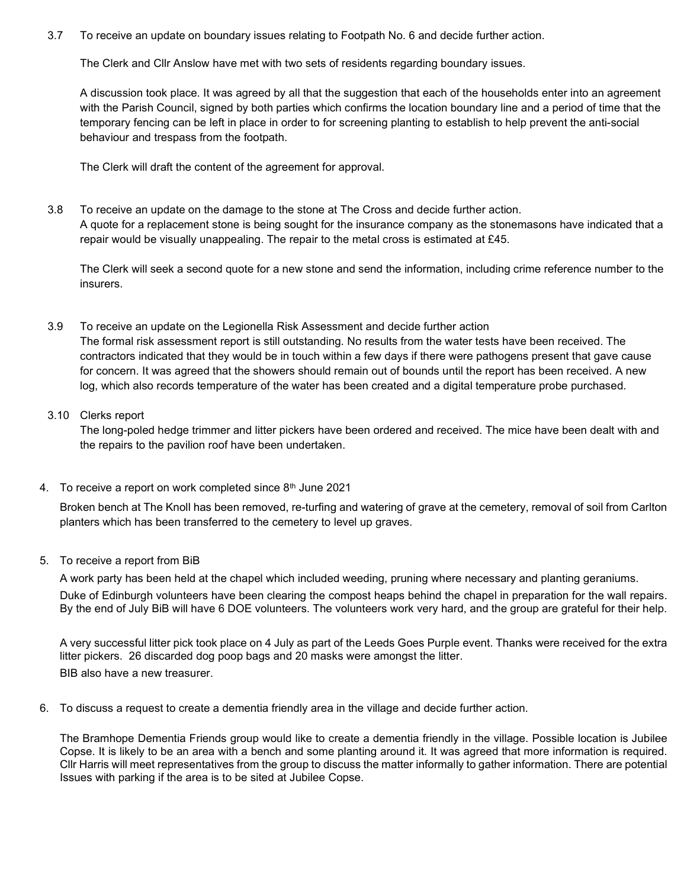3.7 To receive an update on boundary issues relating to Footpath No. 6 and decide further action.

The Clerk and Cllr Anslow have met with two sets of residents regarding boundary issues.

A discussion took place. It was agreed by all that the suggestion that each of the households enter into an agreement with the Parish Council, signed by both parties which confirms the location boundary line and a period of time that the temporary fencing can be left in place in order to for screening planting to establish to help prevent the anti-social behaviour and trespass from the footpath.

The Clerk will draft the content of the agreement for approval.

3.8 To receive an update on the damage to the stone at The Cross and decide further action. A quote for a replacement stone is being sought for the insurance company as the stonemasons have indicated that a repair would be visually unappealing. The repair to the metal cross is estimated at £45.

The Clerk will seek a second quote for a new stone and send the information, including crime reference number to the insurers.

#### 3.9 To receive an update on the Legionella Risk Assessment and decide further action The formal risk assessment report is still outstanding. No results from the water tests have been received. The contractors indicated that they would be in touch within a few days if there were pathogens present that gave cause for concern. It was agreed that the showers should remain out of bounds until the report has been received. A new log, which also records temperature of the water has been created and a digital temperature probe purchased.

#### 3.10 Clerks report

The long-poled hedge trimmer and litter pickers have been ordered and received. The mice have been dealt with and the repairs to the pavilion roof have been undertaken.

4. To receive a report on work completed since 8<sup>th</sup> June 2021

Broken bench at The Knoll has been removed, re-turfing and watering of grave at the cemetery, removal of soil from Carlton planters which has been transferred to the cemetery to level up graves.

#### 5. To receive a report from BiB

A work party has been held at the chapel which included weeding, pruning where necessary and planting geraniums.

Duke of Edinburgh volunteers have been clearing the compost heaps behind the chapel in preparation for the wall repairs. By the end of July BiB will have 6 DOE volunteers. The volunteers work very hard, and the group are grateful for their help.

A very successful litter pick took place on 4 July as part of the Leeds Goes Purple event. Thanks were received for the extra litter pickers. 26 discarded dog poop bags and 20 masks were amongst the litter.

BIB also have a new treasurer.

6. To discuss a request to create a dementia friendly area in the village and decide further action.

The Bramhope Dementia Friends group would like to create a dementia friendly in the village. Possible location is Jubilee Copse. It is likely to be an area with a bench and some planting around it. It was agreed that more information is required. Cllr Harris will meet representatives from the group to discuss the matter informally to gather information. There are potential Issues with parking if the area is to be sited at Jubilee Copse.